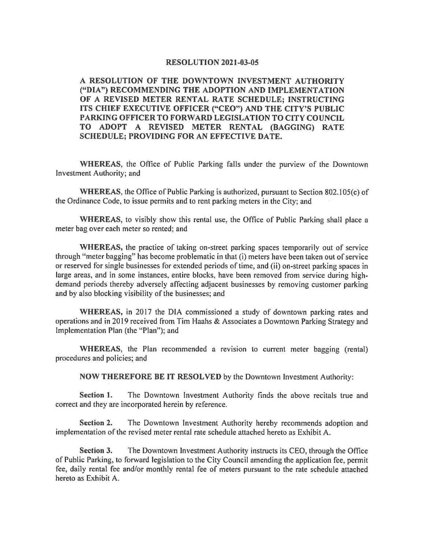## **RESOLUTION 2021-03-05**

**A RESOLUTION OF THE DOWNTOWN INVESTMENT AUTHORITY ("DIA") RECOMMENDING THE ADOPTION AND IMPLEMENTATION**  OF A REVISED METER RENTAL RATE SCHEDULE; INSTRUCTING **ITS CHIEF EXECUTIVE OFFICER ("CEO") AND THE CITY'S PUBLIC PARKING OFFICER TO FORWARD LEGISLATION TO CITY COUNCIL TO ADOPT A REVISED METER RENTAL (BAGGING) RATE SCHEDULE; PROVIDING FOR AN EFFECTIVE DATE.** 

**WHEREAS,** the Office of Public Parking falls under the purview of the Downtown Investment Authority; and

**WHEREAS,** the Office of Public Parking is authorized, pursuant to Section 802.105(c) of the Ordinance Code, to issue permits and to rent parking meters in the City; and

**WHEREAS,** to visibly show this rental use, the Office of Public Parking shall place a meter bag over each meter so rented; and

**WHEREAS,** the practice of taking on-street parking spaces temporarily out of service through "meter bagging" has become problematic in that (i) meters have been taken out of service or reserved for single businesses for extended periods of time, and (ii) on-street parking spaces in large areas, and in some instances, entire blocks, have been removed from service during highdemand periods thereby adversely affecting adjacent businesses by removing customer parking and by also blocking visibility of the businesses; and

**WHEREAS,** in 2017 the DIA commissioned a study of downtown parking rates and operations and in 2019 received from Tim Haahs & Associates a Downtown Parking Strategy and Implementation Plan (the "Plan"); and

**WHEREAS,** the Plan recommended a revision to current meter bagging (rental) procedures and policies; and

**NOW THEREFORE BE IT RESOLVED** by the Downtown Investment Authority:

**Section 1.** The Downtown Investment Authority finds the above recitals true and correct and they are incorporated herein by reference.

**Section 2.** The Downtown Investment Authority hereby recommends adoption and implementation of the revised meter rental rate schedule attached hereto as Exhibit A.

**Section 3.** The Downtown Investment Authority instructs its CEO, through the Office of Public Parking, to forward legislation to the City Council amending the application fee, permit fee, daily rental fee and/or monthly rental fee of meters pursuant to the rate schedule attached hereto as Exhibit A.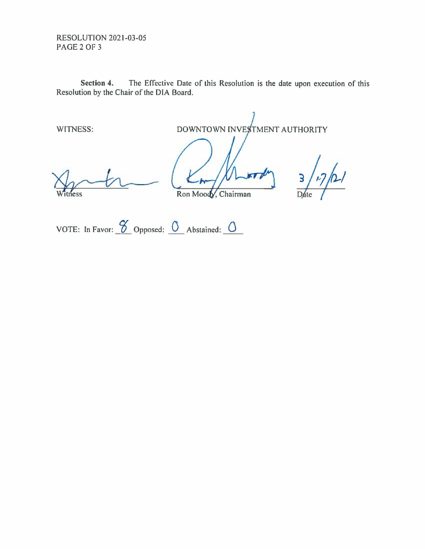RESOLUTION 2021-03-05 PAGE 2 OF 3

**Section 4.** The Effective Date of this Resolution is the date upon execution of this Resolution by the Chair of the DIA Board.

WITNESS:

DOWNTOWN IN VESTMENT AUTHORITY

tness

Ron Moody, Chairman

 $\mathbf{B}$ Date

VOTE: In Favor: <u> $\frac{\alpha}{\beta}$ </u> Opposed: <u>0</u> Abstained: 0